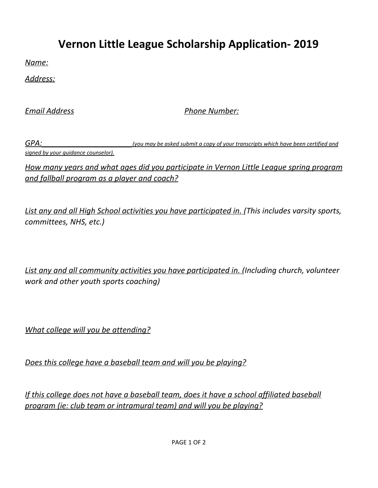## **Vernon Little League Scholarship Application- 2019**

*Name:*

*Address:*

*Email Address Phone Number:*

*GPA:\_\_\_\_\_\_\_\_\_\_\_\_\_\_\_\_\_\_\_\_\_(you may be asked submit a copy of your transcripts which have been certified and signed by your guidance counselor).*

*How many years and what ages did you participate in Vernon Little League spring program and fallball program as a player and coach?*

*List any and all High School activities you have participated in. (This includes varsity sports, committees, NHS, etc.)*

*List any and all community activities you have participated in. (Including church, volunteer work and other youth sports coaching)*

*What college will you be attending?*

*Does this college have a baseball team and will you be playing?*

*If this college does not have a baseball team, does it have a school affiliated baseball program (ie: club team or intramural team) and will you be playing?*